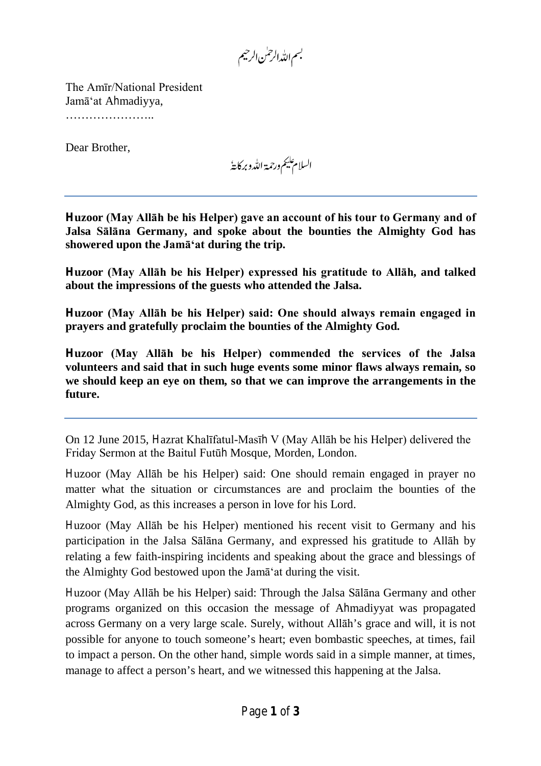بسم الله الرحمٰن الرحيم

The Amīr/National President Jamā'at Ahmadiyya, …………………..

Dear Brother,

السلام عليم ورحمة الله وبركايةُ

**Huzoor (May Allāh be his Helper) gave an account of his tour to Germany and of Jalsa Sālāna Germany, and spoke about the bounties the Almighty God has showered upon the Jamā'at during the trip.** 

**Huzoor (May Allāh be his Helper) expressed his gratitude to Allāh, and talked about the impressions of the guests who attended the Jalsa.**

**Huzoor (May Allāh be his Helper) said: One should always remain engaged in prayers and gratefully proclaim the bounties of the Almighty God.** 

**Huzoor (May Allāh be his Helper) commended the services of the Jalsa volunteers and said that in such huge events some minor flaws always remain, so we should keep an eye on them, so that we can improve the arrangements in the future.**

On 12 June 2015, Hazrat Khalīfatul-Masīh V (May Allāh be his Helper) delivered the Friday Sermon at the Baitul Futūh Mosque, Morden, London.

Huzoor (May Allāh be his Helper) said: One should remain engaged in prayer no matter what the situation or circumstances are and proclaim the bounties of the Almighty God, as this increases a person in love for his Lord.

Huzoor (May Allāh be his Helper) mentioned his recent visit to Germany and his participation in the Jalsa Sālāna Germany, and expressed his gratitude to Allāh by relating a few faith-inspiring incidents and speaking about the grace and blessings of the Almighty God bestowed upon the Jamā'at during the visit.

Huzoor (May Allāh be his Helper) said: Through the Jalsa Sālāna Germany and other programs organized on this occasion the message of Ahmadiyyat was propagated across Germany on a very large scale. Surely, without Allāh's grace and will, it is not possible for anyone to touch someone's heart; even bombastic speeches, at times, fail to impact a person. On the other hand, simple words said in a simple manner, at times, manage to affect a person's heart, and we witnessed this happening at the Jalsa.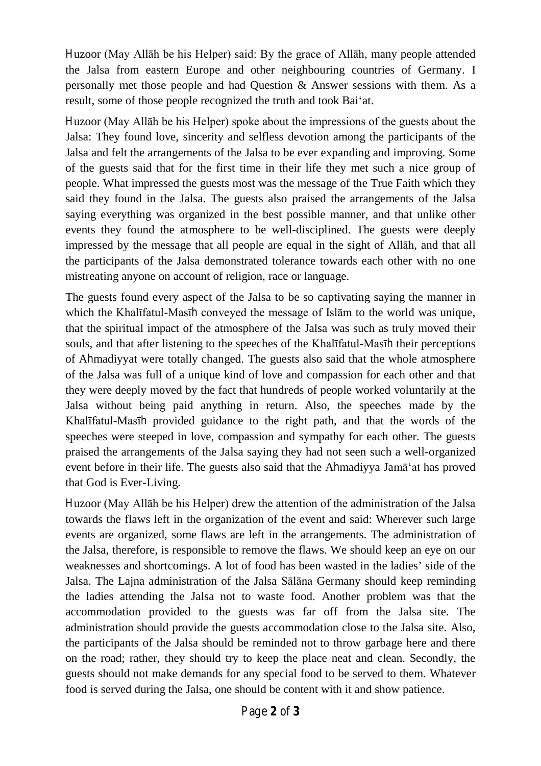Huzoor (May Allāh be his Helper) said: By the grace of Allāh, many people attended the Jalsa from eastern Europe and other neighbouring countries of Germany. I personally met those people and had Question & Answer sessions with them. As a result, some of those people recognized the truth and took Bai'at.

Huzoor (May Allāh be his Helper) spoke about the impressions of the guests about the Jalsa: They found love, sincerity and selfless devotion among the participants of the Jalsa and felt the arrangements of the Jalsa to be ever expanding and improving. Some of the guests said that for the first time in their life they met such a nice group of people. What impressed the guests most was the message of the True Faith which they said they found in the Jalsa. The guests also praised the arrangements of the Jalsa saying everything was organized in the best possible manner, and that unlike other events they found the atmosphere to be well-disciplined. The guests were deeply impressed by the message that all people are equal in the sight of Allāh, and that all the participants of the Jalsa demonstrated tolerance towards each other with no one mistreating anyone on account of religion, race or language.

The guests found every aspect of the Jalsa to be so captivating saying the manner in which the Khalīfatul-Masīh conveyed the message of Islām to the world was unique, that the spiritual impact of the atmosphere of the Jalsa was such as truly moved their souls, and that after listening to the speeches of the Khalīfatul-Masīh their perceptions of Ahmadiyyat were totally changed. The guests also said that the whole atmosphere of the Jalsa was full of a unique kind of love and compassion for each other and that they were deeply moved by the fact that hundreds of people worked voluntarily at the Jalsa without being paid anything in return. Also, the speeches made by the Khalīfatul-Masīh provided guidance to the right path, and that the words of the speeches were steeped in love, compassion and sympathy for each other. The guests praised the arrangements of the Jalsa saying they had not seen such a well-organized event before in their life. The guests also said that the Ahmadiyya Jamā'at has proved that God is Ever-Living.

Huzoor (May Allāh be his Helper) drew the attention of the administration of the Jalsa towards the flaws left in the organization of the event and said: Wherever such large events are organized, some flaws are left in the arrangements. The administration of the Jalsa, therefore, is responsible to remove the flaws. We should keep an eye on our weaknesses and shortcomings. A lot of food has been wasted in the ladies' side of the Jalsa. The Lajna administration of the Jalsa Sālāna Germany should keep reminding the ladies attending the Jalsa not to waste food. Another problem was that the accommodation provided to the guests was far off from the Jalsa site. The administration should provide the guests accommodation close to the Jalsa site. Also, the participants of the Jalsa should be reminded not to throw garbage here and there on the road; rather, they should try to keep the place neat and clean. Secondly, the guests should not make demands for any special food to be served to them. Whatever food is served during the Jalsa, one should be content with it and show patience.